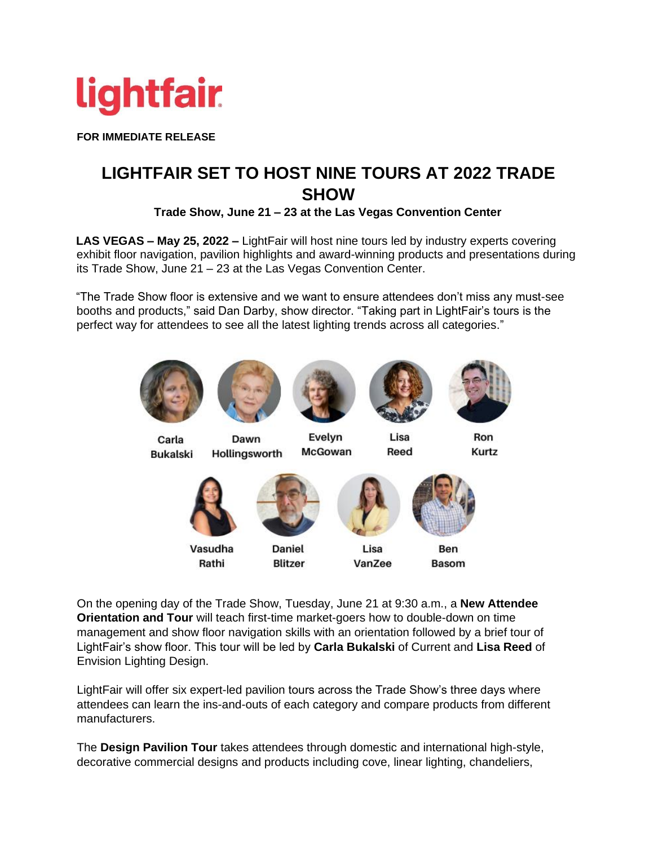

**FOR IMMEDIATE RELEASE** 

## **LIGHTFAIR SET TO HOST NINE TOURS AT 2022 TRADE SHOW**

**Trade Show, June 21 – 23 at the Las Vegas Convention Center**

**LAS VEGAS – May 25, 2022 –** LightFair will host nine tours led by industry experts covering exhibit floor navigation, pavilion highlights and award-winning products and presentations during its Trade Show, June 21 – 23 at the Las Vegas Convention Center.

"The Trade Show floor is extensive and we want to ensure attendees don't miss any must-see booths and products," said Dan Darby, show director. "Taking part in LightFair's tours is the perfect way for attendees to see all the latest lighting trends across all categories."









Lisa

Reed



Ron

Kurtz

Carla **Bukalski** 



Vasudha

Rathi

Evelyn McGowan





**Basom** 

On the opening day of the Trade Show, Tuesday, June 21 at 9:30 a.m., a **New Attendee Orientation and Tour** will teach first-time market-goers how to double-down on time management and show floor navigation skills with an orientation followed by a brief tour of LightFair's show floor. This tour will be led by **Carla Bukalski** of Current and **Lisa Reed** of Envision Lighting Design.

LightFair will offer six expert-led pavilion tours across the Trade Show's three days where attendees can learn the ins-and-outs of each category and compare products from different manufacturers.

The **Design Pavilion Tour** takes attendees through domestic and international high-style, decorative commercial designs and products including cove, linear lighting, chandeliers,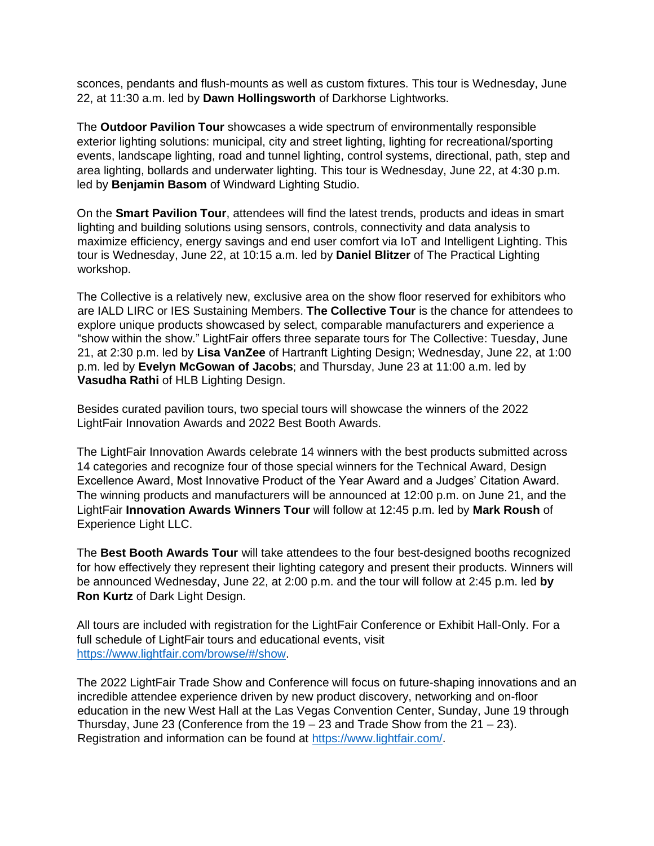sconces, pendants and flush-mounts as well as custom fixtures. This tour is Wednesday, June 22, at 11:30 a.m. led by **Dawn Hollingsworth** of Darkhorse Lightworks.

The **Outdoor Pavilion Tour** showcases a wide spectrum of environmentally responsible exterior lighting solutions: municipal, city and street lighting, lighting for recreational/sporting events, landscape lighting, road and tunnel lighting, control systems, directional, path, step and area lighting, bollards and underwater lighting. This tour is Wednesday, June 22, at 4:30 p.m. led by **Benjamin Basom** of Windward Lighting Studio.

On the **Smart Pavilion Tour**, attendees will find the latest trends, products and ideas in smart lighting and building solutions using sensors, controls, connectivity and data analysis to maximize efficiency, energy savings and end user comfort via IoT and Intelligent Lighting. This tour is Wednesday, June 22, at 10:15 a.m. led by **Daniel Blitzer** of The Practical Lighting workshop.

The Collective is a relatively new, exclusive area on the show floor reserved for exhibitors who are IALD LIRC or IES Sustaining Members. **The Collective Tour** is the chance for attendees to explore unique products showcased by select, comparable manufacturers and experience a "show within the show." LightFair offers three separate tours for The Collective: Tuesday, June 21, at 2:30 p.m. led by **Lisa VanZee** of Hartranft Lighting Design; Wednesday, June 22, at 1:00 p.m. led by **Evelyn McGowan of Jacobs**; and Thursday, June 23 at 11:00 a.m. led by **Vasudha Rathi** of HLB Lighting Design.

Besides curated pavilion tours, two special tours will showcase the winners of the 2022 LightFair Innovation Awards and 2022 Best Booth Awards.

The LightFair Innovation Awards celebrate 14 winners with the best products submitted across 14 categories and recognize four of those special winners for the Technical Award, Design Excellence Award, Most Innovative Product of the Year Award and a Judges' Citation Award. The winning products and manufacturers will be announced at 12:00 p.m. on June 21, and the LightFair **Innovation Awards Winners Tour** will follow at 12:45 p.m. led by **Mark Roush** of Experience Light LLC.

The **Best Booth Awards Tour** will take attendees to the four best-designed booths recognized for how effectively they represent their lighting category and present their products. Winners will be announced Wednesday, June 22, at 2:00 p.m. and the tour will follow at 2:45 p.m. led **by Ron Kurtz** of Dark Light Design.

All tours are included with registration for the LightFair Conference or Exhibit Hall-Only. For a full schedule of LightFair tours and educational events, visit [https://www.lightfair.com/browse/#/show.](https://www.lightfair.com/browse/#/show)

The 2022 LightFair Trade Show and Conference will focus on future-shaping innovations and an incredible attendee experience driven by new product discovery, networking and on-floor education in the new West Hall at the Las Vegas Convention Center, Sunday, June 19 through Thursday, June 23 (Conference from the  $19 - 23$  and Trade Show from the  $21 - 23$ ). Registration and information can be found at [https://www.lightfair.com/.](https://www.lightfair.com/)